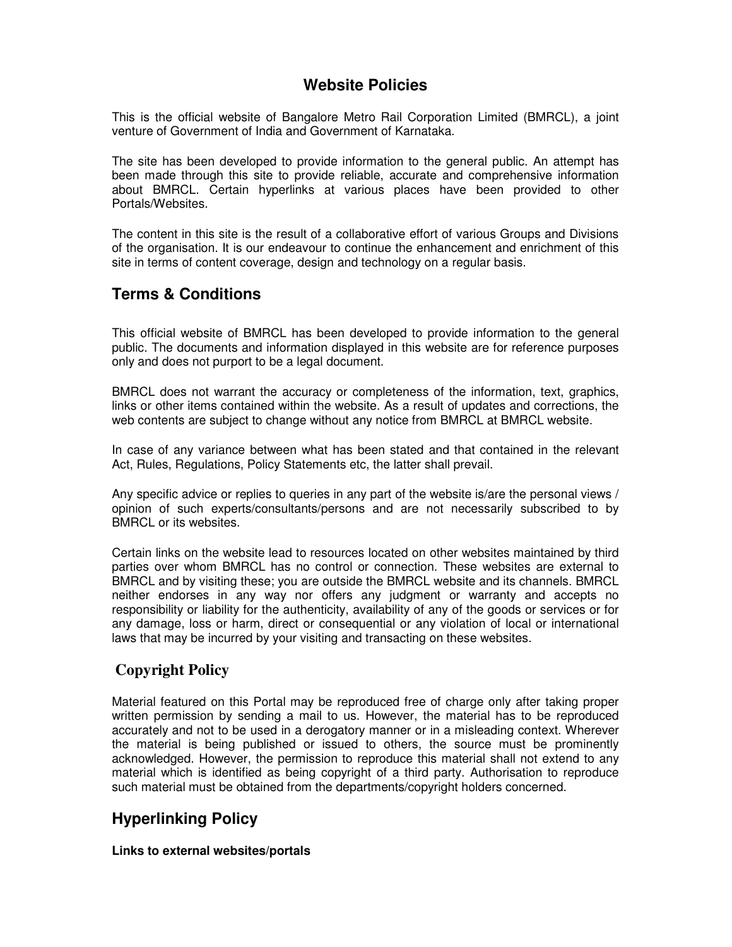# **Website Policies**

This is the official website of Bangalore Metro Rail Corporation Limited (BMRCL), a joint venture of Government of India and Government of Karnataka.

The site has been developed to provide information to the general public. An attempt has been made through this site to provide reliable, accurate and comprehensive information about BMRCL. Certain hyperlinks at various places have been provided to other Portals/Websites.

The content in this site is the result of a collaborative effort of various Groups and Divisions of the organisation. It is our endeavour to continue the enhancement and enrichment of this site in terms of content coverage, design and technology on a regular basis.

# **Terms & Conditions**

This official website of BMRCL has been developed to provide information to the general public. The documents and information displayed in this website are for reference purposes only and does not purport to be a legal document.

BMRCL does not warrant the accuracy or completeness of the information, text, graphics, links or other items contained within the website. As a result of updates and corrections, the web contents are subject to change without any notice from BMRCL at BMRCL website.

In case of any variance between what has been stated and that contained in the relevant Act, Rules, Regulations, Policy Statements etc, the latter shall prevail.

Any specific advice or replies to queries in any part of the website is/are the personal views / opinion of such experts/consultants/persons and are not necessarily subscribed to by BMRCL or its websites.

Certain links on the website lead to resources located on other websites maintained by third parties over whom BMRCL has no control or connection. These websites are external to BMRCL and by visiting these; you are outside the BMRCL website and its channels. BMRCL neither endorses in any way nor offers any judgment or warranty and accepts no responsibility or liability for the authenticity, availability of any of the goods or services or for any damage, loss or harm, direct or consequential or any violation of local or international laws that may be incurred by your visiting and transacting on these websites.

### **Copyright Policy**

Material featured on this Portal may be reproduced free of charge only after taking proper written permission by sending a mail to us. However, the material has to be reproduced accurately and not to be used in a derogatory manner or in a misleading context. Wherever the material is being published or issued to others, the source must be prominently acknowledged. However, the permission to reproduce this material shall not extend to any material which is identified as being copyright of a third party. Authorisation to reproduce such material must be obtained from the departments/copyright holders concerned.

# **Hyperlinking Policy**

### **Links to external websites/portals**